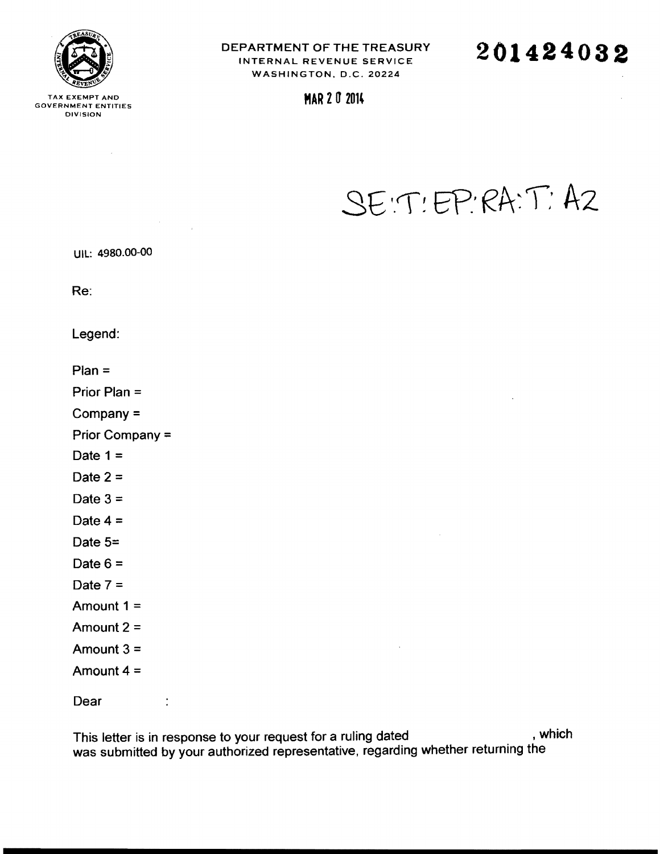

TAX EXEMPT AND **MAR 2 0 2014** GOVERNMENT ENTITIES DIVISION

DEPARTMENT OF THE TREASURY INTERNAL REVENUE SERVICE WASHINGTON, D.C. 20224

**201424032**

# SE: T! EP RA: T: AZ

UIL: 4980.00-00

 $\mathcal{L}_{\mathcal{A}}$ 

Re:

Legend:

Plan =

Prior Plan =

Company =

Prior Company =

Date  $1 =$ 

Date  $2 =$ 

Date  $3 =$ 

Date  $4 =$ 

Date 5=

Date  $6 =$ 

Date  $7 =$ 

- Amount 1 =
- Amount 2 =

Amount  $3 =$ 

Amount 4 =

 $\ddot{\cdot}$ 

**Dear** 

This letter is in response to your request for a ruling dated a subset of the system of the system of the U.S. was submitted by your authorized representative, regarding whether returning the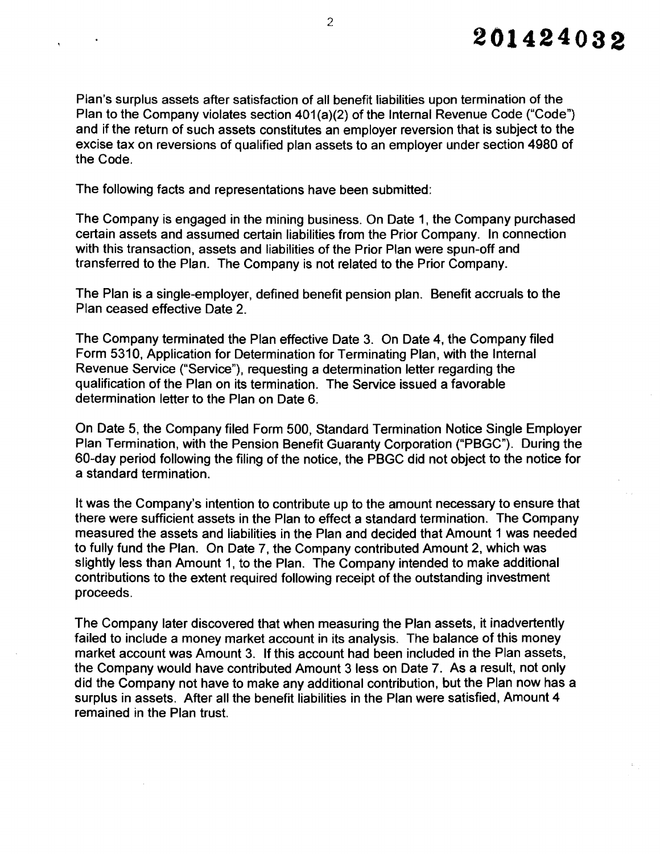Plan's surplus assets after satisfaction of all benefit liabilities upon termination of the Plan to the Company violates section 401(a)(2) of the Internal Revenue Code ("Code") and if the return of such assets constitutes an employer reversion that is subject to the excise tax on reversions of qualified plan assets to an employer under section 4980 of the Code.

The following facts and representations have been submitted:

The Company is engaged in the mining business. On Date 1, the Company purchased certain assets and assumed certain liabilities from the Prior Company. In connection with this transaction, assets and liabilities of the Prior Plan were spun-off and transferred to the Plan. The Company is not related to the Prior Company.

The Plan is a single-employer, defined benefit pension plan. Benefit accruals to the Plan ceased effective Date 2.

The Company terminated the Plan effective Date 3. On Date 4, the Company filed Form 5310, Application for Determination for Terminating Plan, with the Internal Revenue Service ("Service"), requesting a determination letter regarding the qualification of the Plan on its termination. The Service issued a favorable determination letter to the Plan on Date 6.

On Date 5, the Company filed Form 500, Standard Termination Notice Single Employer Plan Termination, with the Pension Benefit Guaranty Corporation ("PBGC"). During the 60-day period following the filing of the notice, the PBGC did not object to the notice for a standard termination.

It was the Company's intention to contribute up to the amount necessary to ensure that there were sufficient assets in the Plan to effect a standard termination. The Company measured the assets and liabilities in the Plan and decided that Amount 1 was needed to fully fund the Plan. On Date 7, the Company contributed Amount 2, which was slightly less than Amount 1, to the Plan. The Company intended to make additional contributions to the extent required following receipt of the outstanding investment proceeds.

The Company later discovered that when measuring the Plan assets, it inadvertently failed to include a money market account in its analysis. The balance of this money market account was Amount 3. If this account had been included in the Plan assets, the Company would have contributed Amount 3 less on Date 7. As a result, not only did the Company not have to make any additional contribution, but the Plan now has a surplus in assets. After all the benefit liabilities in the Plan were satisfied, Amount 4 remained in the Plan trust.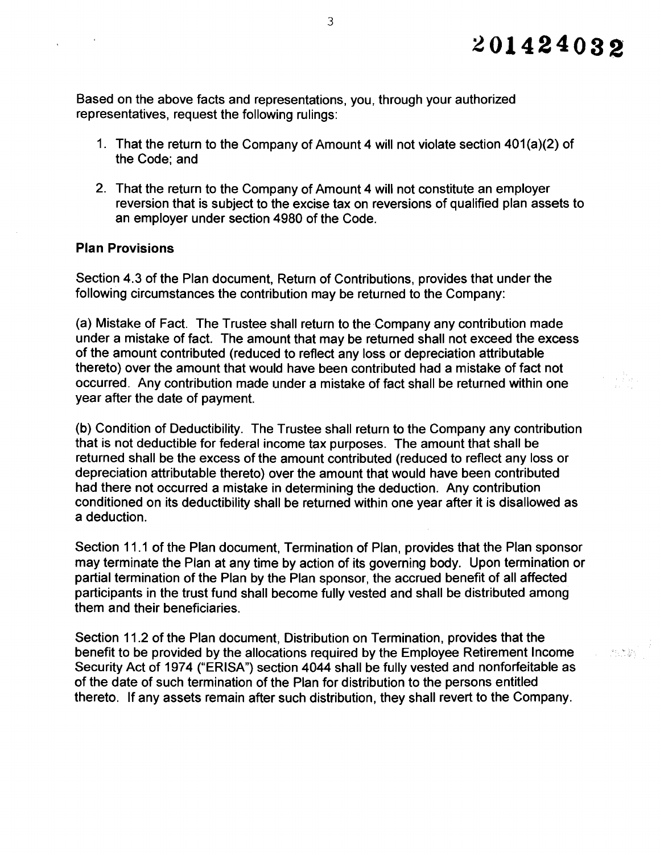2008年

Based on the above facts and representations, you, through your authorized representatives, request the following rulings:

- 1. That the return to the Company of Amount 4 will not violate section  $401(a)(2)$  of the Code; and
- 2. That the return to the Company of Amount 4 will not constitute an employer reversion that is subject to the excise tax on reversions of qualified plan assets to an employer under section 4980 of the Code.

### **Plan Provisions**

Section 4.3 of the Plan document, Return of Contributions, provides that under the following circumstances the contribution may be returned to the Company:

(a) Mistake of Fact. The Trustee shall return to the Company any contribution made under a mistake of fact. The amount that may be returned shall not exceed the excess of the amount contributed (reduced to reflect any loss or depreciation attributable thereto) over the amount that would have been contributed had a mistake of fact not occurred. Any contribution made under a mistake of fact shall be returned within one year after the date of payment.

(b) Condition of Deductibility. The Trustee shall return to the Company any contribution that is not deductible for federal income tax purposes. The amount that shall be returned shall be the excess of the amount contributed (reduced to reflect any loss or depreciation attributable thereto) over the amount that would have been contributed had there not occurred a mistake in determining the deduction. Any contribution conditioned on its deductibility shall be returned within one year after it is disallowed as a deduction.

Section 11.1 of the Plan document, Termination of Plan, provides that the Plan sponsor may terminate the Plan at any time by action of its governing body. Upon termination or partial termination of the Plan by the Plan sponsor, the accrued benefit of all affected participants in the trust fund shall become fully vested and shall be distributed among them and their beneficiaries.

Section 11.2 of the Plan document, Distribution on Termination, provides that the benefit to be provided by the allocations required by the Employee Retirement Income Security Act of 1974 ("ERISA") section 4044 shall be fully vested and nonforfeitable as of the date of such termination of the Plan for distribution to the persons entitled thereto. If any assets remain after such distribution, they shall revert to the Company.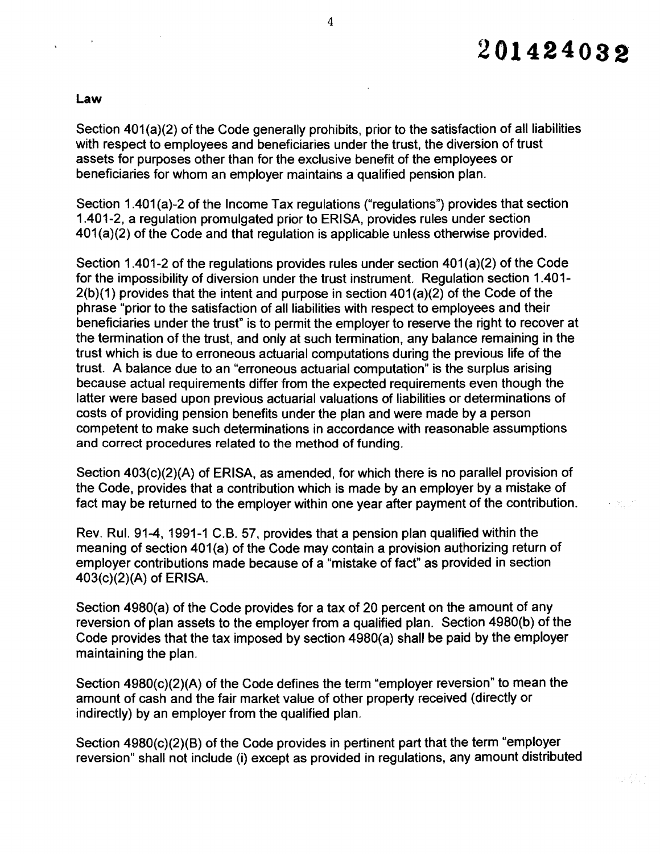# **201424032**

 $\sim 21\,\mu$ 

ar Vict

#### law

 $\sim 100$ 

Section  $401(a)(2)$  of the Code generally prohibits, prior to the satisfaction of all liabilities with respect to employees and beneficiaries under the trust, the diversion of trust assets for purposes other than for the exclusive benefit of the employees or beneficiaries for whom an employer maintains a qualified pension plan.

Section 1.401(a)-2 of the Income Tax regulations ("regulations") provides that section 1.401-2, a regulation promulgated prior to ERISA, provides rules under section 401 (a)(2) of the Code and that regulation is applicable unless otherwise provided.

Section 1.401-2 of the regulations provides rules under section  $401(a)(2)$  of the Code for the impossibility of diversion under the trust instrument. Regulation section 1.401 2(b)(1) provides that the intent and purpose in section 401 (a)(2) of the Code of the phrase "prior to the satisfaction of all liabilities with respect to employees and their beneficiaries under the trust" is to permit the employer to reserve the right to recover at the termination of the trust, and only at such termination, any balance remaining in the trust which is due to erroneous actuarial computations during the previous life of the trust. A balance due to an "erroneous actuarial computation" is the surplus arising because actual requirements differ from the expected requirements even though the latter were based upon previous actuarial valuations of liabilities or determinations of costs of providing pension benefits under the plan and were made by a person competent to make such determinations in accordance with reasonable assumptions and correct procedures related to the method of funding.

Section 403(c)(2)(A) of ERISA, as amended, for which there is no parallel provision of the Code, provides that a contribution which is made by an employer by a mistake of fact may be returned to the employer within one year after payment of the contribution.

Rev. Rul. 91-4, 1991-1 C.B. 57, provides that a pension plan qualified within the meaning of section 401(a) of the Code may contain a provision authorizing return of employer contributions made because of a "mistake of fact" as provided in section 403(c)(2)(A) of ERISA.

Section 4980(a) of the Code provides for a tax of 20 percent on the amount of any reversion of plan assets to the employer from a qualified plan. Section 4980(b) of the Code provides that the tax imposed by section 4980(a) shall be paid by the employer maintaining the plan.

Section 4980(c)(2)(A) of the Code defines the term "employer reversion" to mean the amount of cash and the fair market value of other property received (directly or indirectly) by an employer from the qualified plan.

Section 4980(c)(2)(B) of the Code provides in pertinent part that the term "employer reversion" shall not include (i) except as provided in regulations, any amount distributed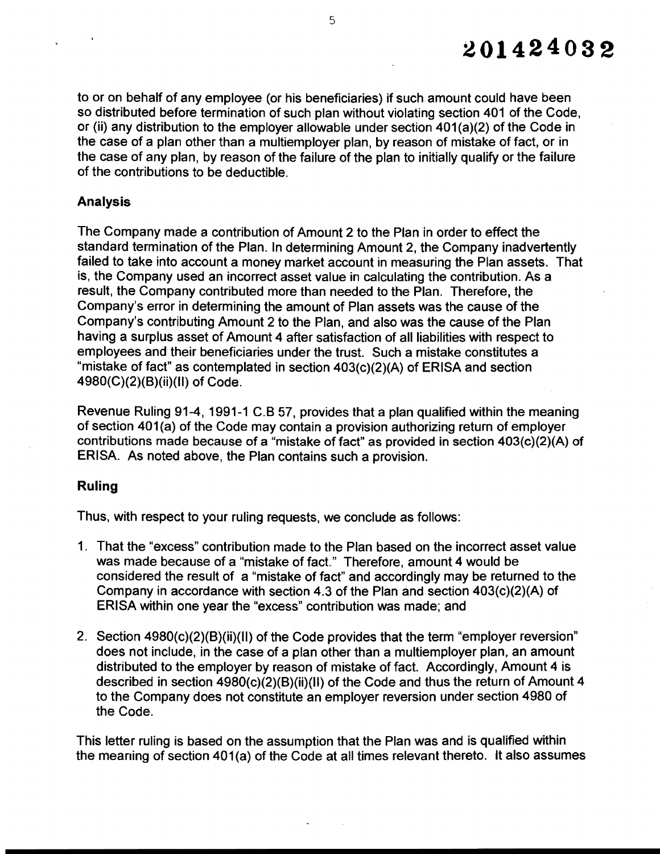to or on behalf of any employee (or his beneficiaries) if such amount could have been so distributed before termination of such plan without violating section 401 of the Code, or (ii) any distribution to the employer allowable under section  $401(a)(2)$  of the Code in the case of a plan other than a multiemployer plan, by reason of mistake of fact, or in the case of any plan, by reason of the failure of the plan to initially qualify or the failure of the contributions to be deductible.

# Analysis

The Company made a contribution of Amount 2 to the Plan in order to effect the standard termination of the Plan. In determining Amount 2, the Company inadvertently failed to take into account a money market account in measuring the Plan assets. That is, the Company used an incorrect asset value in calculating the contribution. As a result, the Company contributed more than needed to the Plan. Therefore, the Company's error in determining the amount of Plan assets was the cause of the Company's contributing Amount 2 to the Plan, and also was the cause of the Plan having a surplus asset of Amount 4 after satisfaction of all liabilities with respect to employees and their beneficiaries under the trust. Such a mistake constitutes a "mistake of fact" as contemplated in section 403(c)(2)(A) of ERISA and section 4980(C)(2)(B)(ii)(II) of Code.

Revenue Ruling 91-4, 1991-1 C.B 57, provides that a plan qualified within the meaning of section 401(a) of the Code may contain a provision authorizing return of employer contributions made because of a "mistake of fact" as provided in section 403(c)(2)(A) of ERISA. As noted above, the Plan contains such a provision.

## Ruling

Thus, with respect to your ruling requests, we conclude as follows:

- 1. That the "excess" contribution made to the Plan based on the incorrect asset value was made because of a "mistake of fact." Therefore, amount 4 would be considered the result of a "mistake of fact" and accordingly may be returned to the Company in accordance with section 4.3 of the Plan and section 403(c)(2)(A) of ERISA within one year the "excess" contribution was made; and
- 2. Section 4980(c)(2)(B)(ii)(II) of the Code provides that the term "employer reversion" does not include, in the case of a plan other than a multiemployer plan, an amount distributed to the employer by reason of mistake of fact. Accordingly, Amount 4 is described in section 4980(c)(2)(B)(ii)(II) of the Code and thus the return of Amount 4 to the Company does not constitute an employer reversion under section 4980 of the Code.

This letter ruling is based on the assumption that the Plan was and is qualified within the meaning of section 401(a) of the Code at all times relevant thereto. It also assumes